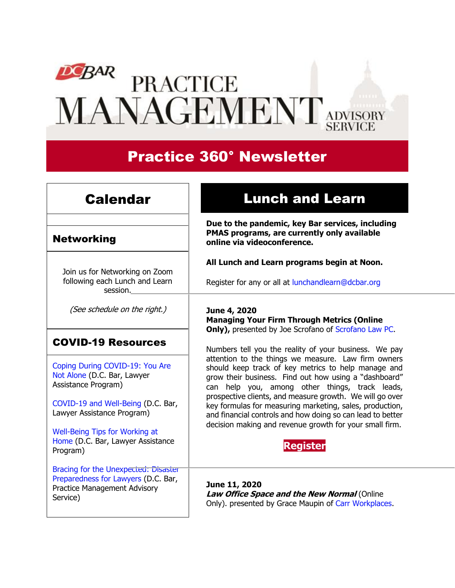# DOBAR<br>
PRACTICE MANAGEMENT ADVISORY

# Practice 360° Newsletter

## Calendar

## Networking

Join us for Networking on Zoom following each Lunch and Learn session.

(See schedule on the right.)

## COVID-19 Resources

[Coping During COVID-19: You Are](https://www.dcbar.org/about-the-bar/news/coping-during-covid-19-you-are-not-alone.cfm?utm_source=Real%20Magnet&utm_medium=INSERT_CHANNEL&utm_campaign=INSERT_LINK_ID)  [Not Alone](https://www.dcbar.org/about-the-bar/news/coping-during-covid-19-you-are-not-alone.cfm?utm_source=Real%20Magnet&utm_medium=INSERT_CHANNEL&utm_campaign=INSERT_LINK_ID) (D.C. Bar, Lawyer Assistance Program)

[COVID-19 and Well-Being](https://www.dcbar.org/bar-resources/lawyer-assistance-program/upload/COVID-19-and-Well-Being-Resources.pdf?utm_source=Real%20Magnet&utm_medium=INSERT_CHANNEL&utm_campaign=INSERT_LINK_ID) (D.C. Bar, Lawyer Assistance Program)

[Well-Being Tips for Working at](https://www.dcbar.org/bar-resources/lawyer-assistance-program/upload/WellnessTips-Working-from-home.pdf?utm_source=Real%20Magnet&utm_medium=INSERT_CHANNEL&utm_campaign=INSERT_LINK_ID)  [Home](https://www.dcbar.org/bar-resources/lawyer-assistance-program/upload/WellnessTips-Working-from-home.pdf?utm_source=Real%20Magnet&utm_medium=INSERT_CHANNEL&utm_campaign=INSERT_LINK_ID) (D.C. Bar, Lawyer Assistance Program)

[Bracing for the Unexpected: Disaster](https://www.dcbar.org/about-the-bar/news/disaster-preparedness-for-lawyers.cfm?utm_source=Real%20Magnet&utm_medium=INSERT_CHANNEL&utm_campaign=INSERT_LINK_ID)  [Preparedness for Lawyers](https://www.dcbar.org/about-the-bar/news/disaster-preparedness-for-lawyers.cfm?utm_source=Real%20Magnet&utm_medium=INSERT_CHANNEL&utm_campaign=INSERT_LINK_ID) (D.C. Bar, Practice Management Advisory Service)

## Lunch and Learn

**Due to the pandemic, key Bar services, including PMAS programs, are currently only available online via videoconference.**

**All Lunch and Learn programs begin at Noon.**

Register for any or all at [lunchandlearn@dcbar.org](mailto:lunchandlearn@dcbar.org?subject=Lunch%20and%20Learn)

**June 4, 2020 Managing Your Firm Through Metrics (Online Only),** presented by Joe Scrofano of [Scrofano Law PC.](https://www.scrofanolaw.com/)

Numbers tell you the reality of your business. We pay attention to the things we measure. Law firm owners should keep track of key metrics to help manage and grow their business. Find out how using a "dashboard" can help you, among other things, track leads, prospective clients, and measure growth. We will go over key formulas for measuring marketing, sales, production, and financial controls and how doing so can lead to better decision making and revenue growth for your small firm.



**June 11, 2020 Law Office Space and the New Normal (Online** Only). presented by Grace Maupin of [Carr Workplaces.](https://carrworkplaces.com/dcbar/)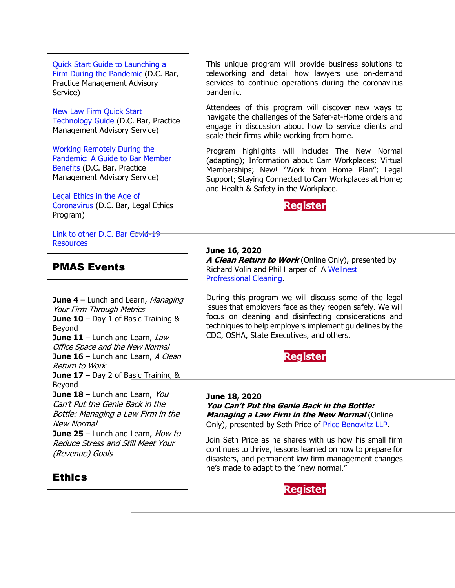| Quick Start Guide to Launching a<br>Firm During the Pandemic (D.C. Bar,<br><b>Practice Management Advisory</b><br>Service)                                                                                                                                                                         | This unique program will provide business solutions to<br>teleworking and detail how lawyers use on-demand<br>services to continue operations during the coronavirus<br>pandemic.                                                                                                                                                                              |
|----------------------------------------------------------------------------------------------------------------------------------------------------------------------------------------------------------------------------------------------------------------------------------------------------|----------------------------------------------------------------------------------------------------------------------------------------------------------------------------------------------------------------------------------------------------------------------------------------------------------------------------------------------------------------|
| <b>New Law Firm Quick Start</b><br>Technology Guide (D.C. Bar, Practice<br>Management Advisory Service)                                                                                                                                                                                            | Attendees of this program will discover new ways to<br>navigate the challenges of the Safer-at-Home orders and<br>engage in discussion about how to service clients and<br>scale their firms while working from home.                                                                                                                                          |
| <b>Working Remotely During the</b><br>Pandemic: A Guide to Bar Member<br>Benefits (D.C. Bar, Practice<br>Management Advisory Service)<br>Legal Ethics in the Age of<br>Coronavirus (D.C. Bar, Legal Ethics<br>Program)                                                                             | Program highlights will include: The New Normal<br>(adapting); Information about Carr Workplaces; Virtual<br>Memberships; New! "Work from Home Plan"; Legal<br>Support; Staying Connected to Carr Workplaces at Home;<br>and Health & Safety in the Workplace.<br><b>Register</b>                                                                              |
| Link to other D.C. Bar Covid-19<br><b>Resources</b>                                                                                                                                                                                                                                                |                                                                                                                                                                                                                                                                                                                                                                |
| <b>PMAS Events</b>                                                                                                                                                                                                                                                                                 | June 16, 2020<br>A Clean Return to Work (Online Only), presented by<br>Richard Volin and Phil Harper of A Wellnest<br>Profressional Cleaning.                                                                                                                                                                                                                  |
| <b>June 4</b> – Lunch and Learn, Managing<br>Your Firm Through Metrics<br>June 10 - Day 1 of Basic Training &<br>Beyond<br><b>June 11</b> – Lunch and Learn, Law<br>Office Space and the New Normal<br>June 16 - Lunch and Learn, A Clean<br>Return to Work<br>June 17 - Day 2 of Basic Training & | During this program we will discuss some of the legal<br>issues that employers face as they reopen safely. We will<br>focus on cleaning and disinfecting considerations and<br>techniques to help employers implement guidelines by the<br>CDC, OSHA, State Executives, and others.<br>Register                                                                |
| Beyond<br>June 18 - Lunch and Learn, You<br>Can't Put the Genie Back in the<br>Bottle: Managing a Law Firm in the<br>New Normal<br>June 25 - Lunch and Learn, How to<br>Reduce Stress and Still Meet Your<br>(Revenue) Goals                                                                       | June 18, 2020<br>You Can't Put the Genie Back in the Bottle:<br><b>Managing a Law Firm in the New Normal (Online</b><br>Only), presented by Seth Price of Price Benowitz LLP.<br>Join Seth Price as he shares with us how his small firm<br>continues to thrive, lessons learned on how to prepare for<br>disasters, and permanent law firm management changes |
| <b>Ethics</b>                                                                                                                                                                                                                                                                                      | he's made to adapt to the "new normal."<br><b>Danictor</b>                                                                                                                                                                                                                                                                                                     |

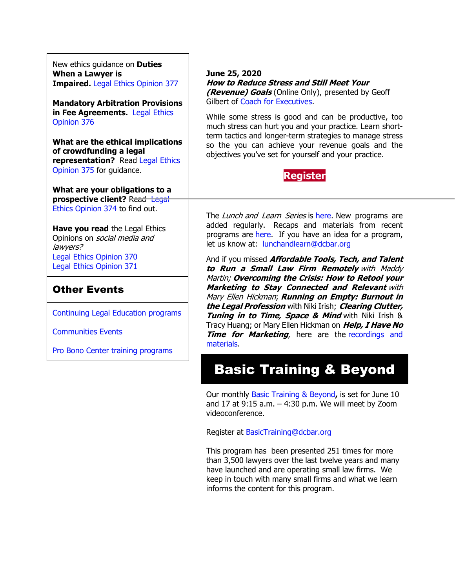New ethics guidance on **Duties When a Lawyer is Impaired.** [Legal Ethics Opinion 377](https://www.dcbar.org/bar-resources/legal-ethics/opinions/Ethics-Opinion-377.cfm?utm_source=Real%20Magnet&utm_medium=INSERT_CHANNEL&utm_campaign=INSERT_LINK_ID)

**Mandatory Arbitration Provisions in Fee Agreements.** [Legal Ethics](https://www.dcbar.org/bar-resources/legal-ethics/opinions/Ethics-Opinion-376.cfm?utm_source=Real%20Magnet&utm_medium=INSERT_CHANNEL&utm_campaign=INSERT_LINK_ID)  [Opinion 376](https://www.dcbar.org/bar-resources/legal-ethics/opinions/Ethics-Opinion-376.cfm?utm_source=Real%20Magnet&utm_medium=INSERT_CHANNEL&utm_campaign=INSERT_LINK_ID)

**What are the ethical implications of crowdfunding a legal representation?** Read [Legal Ethics](http://www.dcbar.org/bar-resources/legal-ethics/opinions/Ethics-Opinion-375.cfm?utm_source=Real%20Magnet&utm_medium=INSERT_CHANNEL&utm_campaign=INSERT_LINK_ID)  [Opinion 375](http://www.dcbar.org/bar-resources/legal-ethics/opinions/Ethics-Opinion-375.cfm?utm_source=Real%20Magnet&utm_medium=INSERT_CHANNEL&utm_campaign=INSERT_LINK_ID) for guidance.

**What are your obligations to a prospective client?** Read Legal [Ethics Opinion 374](http://www.dcbar.org/bar-resources/legal-ethics/opinions/Ethics-Opinion-374.cfm?utm_source=Real%20Magnet&utm_medium=INSERT_CHANNEL&utm_campaign=INSERT_LINK_ID) to find out.

**Have you read** the Legal Ethics Opinions on social media and lawyers? [Legal Ethics Opinion](http://www.dcbar.org/bar-resources/legal-ethics/opinions/Ethics-Opinion-370.cfm?utm_source=Real%20Magnet&utm_medium=INSERT_CHANNEL&utm_campaign=INSERT_LINK_ID) 370 [Legal Ethics Opinion](http://www.dcbar.org/bar-resources/legal-ethics/opinions/Ethics-Opinion-371.cfm?utm_source=Real%20Magnet&utm_medium=INSERT_CHANNEL&utm_campaign=INSERT_LINK_ID) 371

### Other Events

[Continuing Legal Education programs](https://join.dcbar.org/eweb/DynamicPage.aspx?Site=DCBar&WebKey=cbe606bc-88d4-4d37-872c-f48d412a59e5&evt_etc_key=7aaf572d-f662-422f-9fe7-0ae3f4b705be&utm_source=Real%20Magnet&utm_medium=INSERT_CHANNEL&utm_campaign=INSERT_LINK_ID)

[Communities Events](https://join.dcbar.org/eweb/DynamicPage.aspx?site=dcbar&webcode=EventList&utm_source=Real%20Magnet&utm_medium=INSERT_CHANNEL&utm_campaign=INSERT_LINK_ID)

[Pro Bono Center training programs](http://www.dcbar.org/pro-bono/resources-and-training/pro-bono-training.cfm?utm_source=Real%20Magnet&utm_medium=INSERT_CHANNEL&utm_campaign=INSERT_LINK_ID)

#### **June 25, 2020 How to Reduce Stress and Still Meet Your (Revenue) Goals** (Online Only), presented by Geoff Gilbert of [Coach for Executives.](http://www.coachforexecutives.com/)

While some stress is good and can be productive, too much stress can hurt you and your practice. Learn shortterm tactics and longer-term strategies to manage stress so the you can achieve your revenue goals and the objectives you've set for yourself and your practice.



The Lunch and Learn Series is [here.](http://www.mmsend31.com/link.cfm?r=zvkjaWqFFUTRz65Avl-Ftw~~&pe=uj3OQce67sAzal0I0cWC7TjhNwePVYVKzJMg2Js6AIsGNMVqBKo6FlxU1r4B9xoXUOyVF9B6Sl75zAYfEz30Xg~~&t=9q0Bx7QlIBCo1RGNX5Mg8A~~) New programs are added regularly. Recaps and materials from recent programs are [here.](https://www.dcbar.org/bar-resources/practice-management-advisory-service/lunch-series-past.cfm?utm_source=Real%20Magnet&utm_medium=INSERT_CHANNEL&utm_campaign=INSERT_LINK_ID) If you have an idea for a program, let us know at: [lunchandlearn@dcbar.org](mailto:lunchandlearn@dcbar.org)

And if you missed **Affordable Tools, Tech, and Talent to Run <sup>a</sup> Small Law Firm Remotely** with Maddy Martin; **Overcoming the Crisis: How to Retool your Marketing to Stay Connected and Relevant** with Mary Ellen Hickman; **Running on Empty: Burnout in the Legal Profession** with Niki Irish; **Clearing Clutter, Tuning in to Time, Space & Mind** with Niki Irish & Tracy Huang; or Mary Ellen Hickman on **Help, I Have No Time for Marketing**, here are the recordings and [materials.](http://www.mmsend31.com/link.cfm?r=zvkjaWqFFUTRz65Avl-Ftw~~&pe=4mmxqJOvTKC2xyXj-atTVcA70zCTGMMU-jeeiyE3_LcUP1jcscAFhZabfUl8Xy4IIeUfSvOSbZDXV2AP0w6XEA~~&t=9q0Bx7QlIBCo1RGNX5Mg8A~~)

# Basic Training & Beyond

Our monthly [Basic Training & Beyond](http://www.dcbar.org/bar-resources/practice-management-advisory-service/basic-training.cfm?utm_source=Real%20Magnet&utm_medium=INSERT_CHANNEL&utm_campaign=INSERT_LINK_ID)**,** is set for June 10 and 17 at 9:15 a.m. – 4:30 p.m. We will meet by Zoom videoconference.

Register at [BasicTraining@dcbar.org](mailto:BasicTraining@dcbar.org?subject=Basic%20Training%20%26%20Beyond) 

This program has been presented 251 times for more than 3,500 lawyers over the last twelve years and many have launched and are operating small law firms. We keep in touch with many small firms and what we learn informs the content for this program.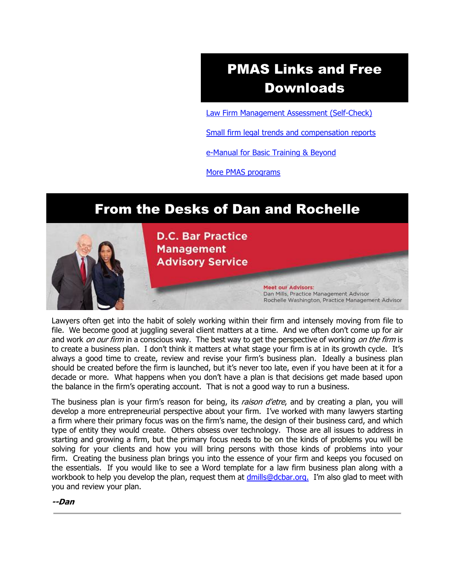# PMAS Links and Free Downloads

[Law Firm Management Assessment \(Self-Check\)](https://www.dcbar.org/bar-resources/practice-management-advisory-service/selfcheck.cfm?utm_source=Real%20Magnet&utm_medium=INSERT_CHANNEL&utm_campaign=INSERT_LINK_ID)

[Small firm legal trends and compensation reports](http://www.dcbar.org/bar-resources/practice-management-advisory-service/basic-training-supplement.cfm?utm_source=Real%20Magnet&utm_medium=INSERT_CHANNEL&utm_campaign=INSERT_LINK_ID)

[e-Manual for Basic Training & Beyond](http://www.dcbar.org/bar-resources/practice-management-advisory-service/upload/eManual-050316.pdf?utm_source=Real%20Magnet&utm_medium=INSERT_CHANNEL&utm_campaign=INSERT_LINK_ID)

[More PMAS programs](http://www.dcbar.org/bar-resources/practice-management-advisory-service/?utm_source=Real%20Magnet&utm_medium=INSERT_CHANNEL&utm_campaign=INSERT_LINK_ID)

## From the Desks of Dan and Rochelle



Lawyers often get into the habit of solely working within their firm and intensely moving from file to file. We become good at juggling several client matters at a time. And we often don't come up for air and work *on our firm* in a conscious way. The best way to get the perspective of working *on the firm* is to create a business plan. I don't think it matters at what stage your firm is at in its growth cycle. It's always a good time to create, review and revise your firm's business plan. Ideally a business plan should be created before the firm is launched, but it's never too late, even if you have been at it for a decade or more. What happens when you don't have a plan is that decisions get made based upon the balance in the firm's operating account. That is not a good way to run a business.

The business plan is your firm's reason for being, its *raison d'etre*, and by creating a plan, you will develop a more entrepreneurial perspective about your firm. I've worked with many lawyers starting a firm where their primary focus was on the firm's name, the design of their business card, and which type of entity they would create. Others obsess over technology. Those are all issues to address in starting and growing a firm, but the primary focus needs to be on the kinds of problems you will be solving for your clients and how you will bring persons with those kinds of problems into your firm. Creating the business plan brings you into the essence of your firm and keeps you focused on the essentials. If you would like to see a Word template for a law firm business plan along with a workbook to help you develop the plan, request them at [dmills@dcbar.org.](mailto:dmills@dcbar.org) I'm also glad to meet with you and review your plan.

**--Dan**